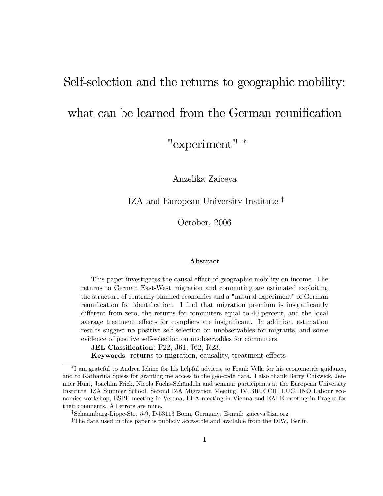# Self-selection and the returns to geographic mobility:

## what can be learned from the German reunification

"experiment" \*

Anzelika Zaiceva

IZA and European University Institute<sup>†</sup>

October, 2006

#### Abstract

This paper investigates the causal effect of geographic mobility on income. The returns to German East-West migration and commuting are estimated exploiting the structure of centrally planned economies and a "natural experiment" of German reunification for identification. I find that migration premium is insignificantly different from zero, the returns for commuters equal to 40 percent, and the local average treatment effects for compliers are insignificant. In addition, estimation results suggest no positive self-selection on unobservables for migrants, and some evidence of positive self-selection on unobservables for commuters.

JEL Classification: F22, J61, J62, R23.

Keywords: returns to migration, causality, treatment effects

<sup>†</sup>Schaumburg-Lippe-Str. 5-9, D-53113 Bonn, Germany. E-mail: zaiceva@iza.org

<sup>‡</sup>The data used in this paper is publicly accessible and available from the DIW, Berlin.

I am grateful to Andrea Ichino for his helpful advices, to Frank Vella for his econometric guidance, and to Katharina Spiess for granting me access to the geo-code data. I also thank Barry Chiswick, Jennifer Hunt, Joachim Frick, Nicola Fuchs-Schündeln and seminar participants at the European University Institute, IZA Summer School, Second IZA Migration Meeting, IV BRUCCHI LUCHINO Labour economics workshop, ESPE meeting in Verona, EEA meeting in Vienna and EALE meeting in Prague for their comments. All errors are mine.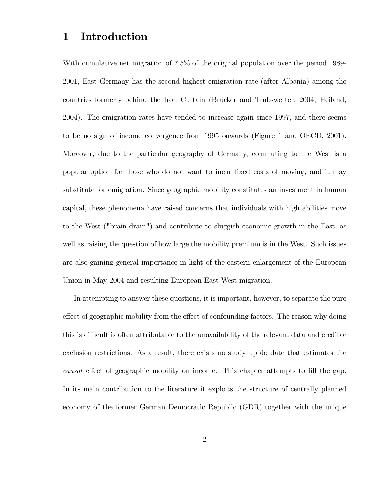#### 1 Introduction

With cumulative net migration of 7.5% of the original population over the period 1989- 2001, East Germany has the second highest emigration rate (after Albania) among the countries formerly behind the Iron Curtain (Brücker and Trübswetter, 2004, Heiland, 2004). The emigration rates have tended to increase again since 1997, and there seems to be no sign of income convergence from 1995 onwards (Figure 1 and OECD, 2001). Moreover, due to the particular geography of Germany, commuting to the West is a popular option for those who do not want to incur fixed costs of moving, and it may substitute for emigration. Since geographic mobility constitutes an investment in human capital, these phenomena have raised concerns that individuals with high abilities move to the West ("brain drain") and contribute to sluggish economic growth in the East, as well as raising the question of how large the mobility premium is in the West. Such issues are also gaining general importance in light of the eastern enlargement of the European Union in May 2004 and resulting European East-West migration.

In attempting to answer these questions, it is important, however, to separate the pure effect of geographic mobility from the effect of confounding factors. The reason why doing this is difficult is often attributable to the unavailability of the relevant data and credible exclusion restrictions. As a result, there exists no study up do date that estimates the causal effect of geographic mobility on income. This chapter attempts to fill the gap. In its main contribution to the literature it exploits the structure of centrally planned economy of the former German Democratic Republic (GDR) together with the unique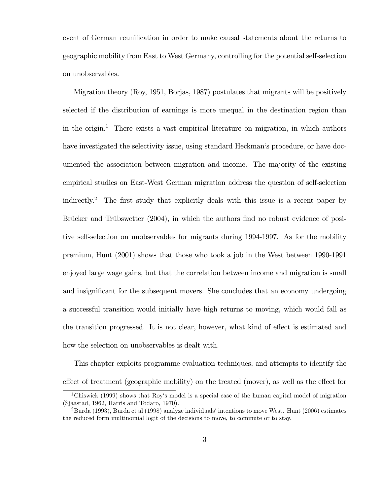event of German reunification in order to make causal statements about the returns to geographic mobility from East to West Germany, controlling for the potential self-selection on unobservables.

Migration theory (Roy, 1951, Borjas, 1987) postulates that migrants will be positively selected if the distribution of earnings is more unequal in the destination region than in the origin.<sup>1</sup> There exists a vast empirical literature on migration, in which authors have investigated the selectivity issue, using standard Heckman's procedure, or have documented the association between migration and income. The majority of the existing empirical studies on East-West German migration address the question of self-selection indirectly.<sup>2</sup> The first study that explicitly deals with this issue is a recent paper by Brücker and Trübswetter (2004), in which the authors find no robust evidence of positive self-selection on unobservables for migrants during 1994-1997. As for the mobility premium, Hunt (2001) shows that those who took a job in the West between 1990-1991 enjoyed large wage gains, but that the correlation between income and migration is small and insignificant for the subsequent movers. She concludes that an economy undergoing a successful transition would initially have high returns to moving, which would fall as the transition progressed. It is not clear, however, what kind of effect is estimated and how the selection on unobservables is dealt with.

This chapter exploits programme evaluation techniques, and attempts to identify the effect of treatment (geographic mobility) on the treated (mover), as well as the effect for

<sup>&</sup>lt;sup>1</sup>Chiswick (1999) shows that Roy's model is a special case of the human capital model of migration (Sjaastad, 1962, Harris and Todaro, 1970).

 $2$ Burda (1993), Burda et al (1998) analyze individuals' intentions to move West. Hunt (2006) estimates the reduced form multinomial logit of the decisions to move, to commute or to stay.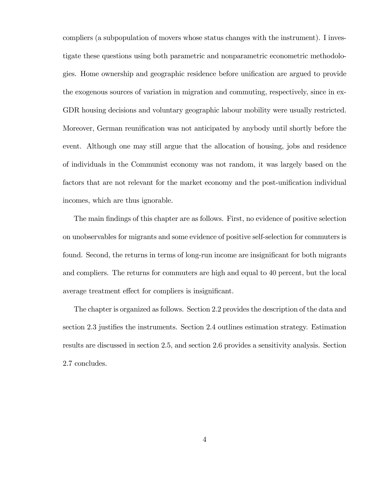compliers (a subpopulation of movers whose status changes with the instrument). I investigate these questions using both parametric and nonparametric econometric methodologies. Home ownership and geographic residence before unification are argued to provide the exogenous sources of variation in migration and commuting, respectively, since in ex-GDR housing decisions and voluntary geographic labour mobility were usually restricted. Moreover, German reunification was not anticipated by anybody until shortly before the event. Although one may still argue that the allocation of housing, jobs and residence of individuals in the Communist economy was not random, it was largely based on the factors that are not relevant for the market economy and the post-unification individual incomes, which are thus ignorable.

The main findings of this chapter are as follows. First, no evidence of positive selection on unobservables for migrants and some evidence of positive self-selection for commuters is found. Second, the returns in terms of long-run income are insignificant for both migrants and compliers. The returns for commuters are high and equal to 40 percent, but the local average treatment effect for compliers is insignificant.

The chapter is organized as follows. Section 2.2 provides the description of the data and section 2.3 justifies the instruments. Section 2.4 outlines estimation strategy. Estimation results are discussed in section 2.5, and section 2.6 provides a sensitivity analysis. Section 2.7 concludes.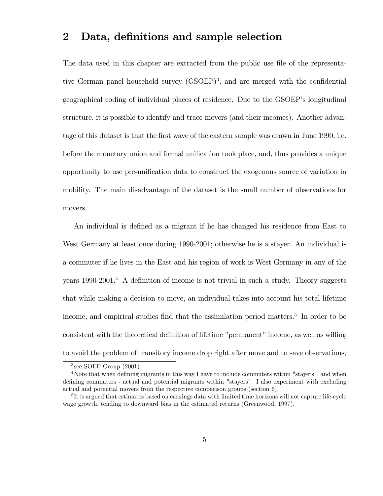#### 2 Data, definitions and sample selection

The data used in this chapter are extracted from the public use file of the representative German panel household survey  $(GSOEP)^3$ , and are merged with the confidential geographical coding of individual places of residence. Due to the GSOEP's longitudinal structure, it is possible to identify and trace movers (and their incomes). Another advantage of this dataset is that the first wave of the eastern sample was drawn in June 1990, i.e. before the monetary union and formal unification took place, and, thus provides a unique opportunity to use pre-unification data to construct the exogenous source of variation in mobility. The main disadvantage of the dataset is the small number of observations for movers.

An individual is defined as a migrant if he has changed his residence from East to West Germany at least once during 1990-2001; otherwise he is a stayer. An individual is a commuter if he lives in the East and his region of work is West Germany in any of the years  $1990-2001<sup>4</sup>$  A definition of income is not trivial in such a study. Theory suggests that while making a decision to move, an individual takes into account his total lifetime income, and empirical studies find that the assimilation period matters.<sup>5</sup> In order to be consistent with the theoretical definition of lifetime "permanent" income, as well as willing to avoid the problem of transitory income drop right after move and to save observations,

 $3$ see SOEP Group  $(2001)$ .

<sup>&</sup>lt;sup>4</sup>Note that when defining migrants in this way I have to include commuters within "stayers", and when defining commuters - actual and potential migrants within "stayers". I also experiment with excluding actual and potential movers from the respective comparison groups (section 6).

<sup>&</sup>lt;sup>5</sup>It is argued that estimates based on earnings data with limited time horizons will not capture life-cycle wage growth, tending to downward bias in the estimated returns (Greenwood, 1997).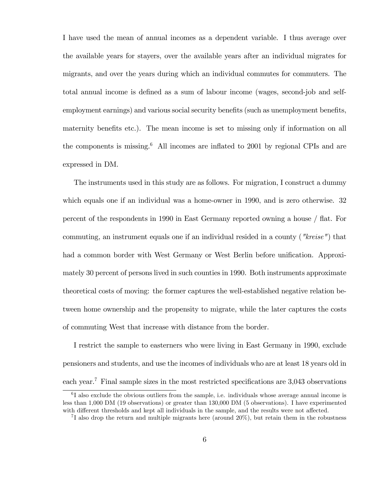I have used the mean of annual incomes as a dependent variable. I thus average over the available years for stayers, over the available years after an individual migrates for migrants, and over the years during which an individual commutes for commuters. The total annual income is defined as a sum of labour income (wages, second-job and selfemployment earnings) and various social security benefits (such as unemployment benefits, maternity benefits etc.). The mean income is set to missing only if information on all the components is missing. $6$  All incomes are inflated to 2001 by regional CPIs and are expressed in DM.

The instruments used in this study are as follows. For migration, I construct a dummy which equals one if an individual was a home-owner in 1990, and is zero otherwise. 32 percent of the respondents in 1990 in East Germany reported owning a house / áat. For commuting, an instrument equals one if an individual resided in a county ("kreise") that had a common border with West Germany or West Berlin before unification. Approximately 30 percent of persons lived in such counties in 1990. Both instruments approximate theoretical costs of moving: the former captures the well-established negative relation between home ownership and the propensity to migrate, while the later captures the costs of commuting West that increase with distance from the border.

I restrict the sample to easterners who were living in East Germany in 1990, exclude pensioners and students, and use the incomes of individuals who are at least 18 years old in each year.<sup>7</sup> Final sample sizes in the most restricted specifications are  $3,043$  observations

<sup>&</sup>lt;sup>6</sup>I also exclude the obvious outliers from the sample, i.e. individuals whose average annual income is less than 1,000 DM (19 observations) or greater than 130,000 DM (5 observations). I have experimented with different thresholds and kept all individuals in the sample, and the results were not affected.

<sup>&</sup>lt;sup>7</sup>I also drop the return and multiple migrants here (around  $20\%$ ), but retain them in the robustness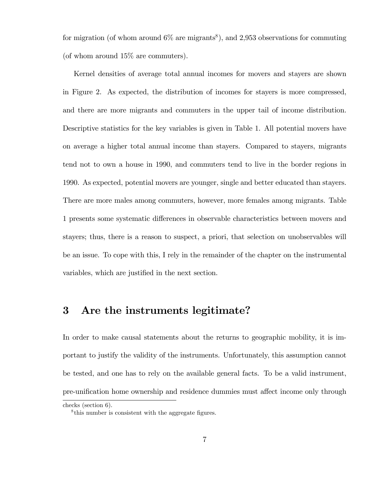for migration (of whom around  $6\%$  are migrants<sup>8</sup>), and 2,953 observations for commuting (of whom around 15% are commuters).

Kernel densities of average total annual incomes for movers and stayers are shown in Figure 2. As expected, the distribution of incomes for stayers is more compressed, and there are more migrants and commuters in the upper tail of income distribution. Descriptive statistics for the key variables is given in Table 1. All potential movers have on average a higher total annual income than stayers. Compared to stayers, migrants tend not to own a house in 1990, and commuters tend to live in the border regions in 1990. As expected, potential movers are younger, single and better educated than stayers. There are more males among commuters, however, more females among migrants. Table 1 presents some systematic differences in observable characteristics between movers and stayers; thus, there is a reason to suspect, a priori, that selection on unobservables will be an issue. To cope with this, I rely in the remainder of the chapter on the instrumental variables, which are justified in the next section.

## 3 Are the instruments legitimate?

In order to make causal statements about the returns to geographic mobility, it is important to justify the validity of the instruments. Unfortunately, this assumption cannot be tested, and one has to rely on the available general facts. To be a valid instrument, pre-unification home ownership and residence dummies must affect income only through

checks (section 6).

<sup>&</sup>lt;sup>8</sup>this number is consistent with the aggregate figures.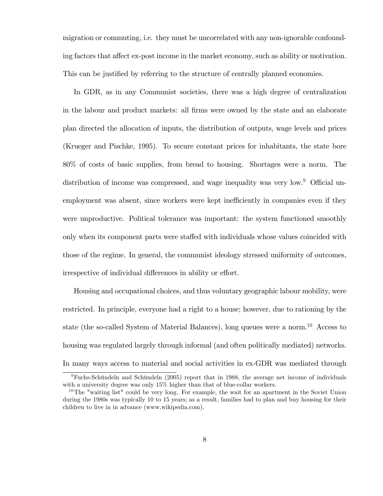migration or commuting, i.e. they must be uncorrelated with any non-ignorable confounding factors that affect ex-post income in the market economy, such as ability or motivation. This can be justified by referring to the structure of centrally planned economies.

In GDR, as in any Communist societies, there was a high degree of centralization in the labour and product markets: all Örms were owned by the state and an elaborate plan directed the allocation of inputs, the distribution of outputs, wage levels and prices (Krueger and Pischke, 1995). To secure constant prices for inhabitants, the state bore 80% of costs of basic supplies, from bread to housing. Shortages were a norm. The distribution of income was compressed, and wage inequality was very low. $9$  Official unemployment was absent, since workers were kept inefficiently in companies even if they were unproductive. Political tolerance was important: the system functioned smoothly only when its component parts were staffed with individuals whose values coincided with those of the regime. In general, the communist ideology stressed uniformity of outcomes, irrespective of individual differences in ability or effort.

Housing and occupational choices, and thus voluntary geographic labour mobility, were restricted. In principle, everyone had a right to a house; however, due to rationing by the state (the so-called System of Material Balances), long queues were a norm.<sup>10</sup> Access to housing was regulated largely through informal (and often politically mediated) networks. In many ways access to material and social activities in ex-GDR was mediated through

 $9$ Fuchs-Schündeln and Schündeln (2005) report that in 1988, the average net income of individuals with a university degree was only 15% higher than that of blue-collar workers.

<sup>&</sup>lt;sup>10</sup>The "waiting list" could be very long. For example, the wait for an apartment in the Soviet Union during the 1980s was typically 10 to 15 years; as a result, families had to plan and buy housing for their children to live in in advance (www.wikipedia.com).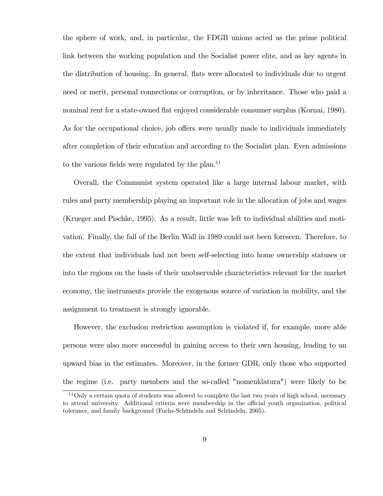the sphere of work, and, in particular, the FDGB unions acted as the prime political link between the working population and the Socialist power elite, and as key agents in the distribution of housing. In general, flats were allocated to individuals due to urgent need or merit, personal connections or corruption, or by inheritance. Those who paid a nominal rent for a state-owned flat enjoyed considerable consumer surplus (Kornai, 1980). As for the occupational choice, job offers were usually made to individuals immediately after completion of their education and according to the Socialist plan. Even admissions to the various fields were regulated by the plan.<sup>11</sup>

Overall, the Communist system operated like a large internal labour market, with rules and party membership playing an important role in the allocation of jobs and wages (Krueger and Pischke, 1995). As a result, little was left to individual abilities and motivation. Finally, the fall of the Berlin Wall in 1989 could not been foreseen. Therefore, to the extent that individuals had not been self-selecting into home ownership statuses or into the regions on the basis of their unobservable characteristics relevant for the market economy, the instruments provide the exogenous source of variation in mobility, and the assignment to treatment is strongly ignorable.

However, the exclusion restriction assumption is violated if, for example, more able persons were also more successful in gaining access to their own housing, leading to an upward bias in the estimates. Moreover, in the former GDR, only those who supported the regime (i.e. party members and the so-called "nomenklatura") were likely to be

<sup>&</sup>lt;sup>11</sup>Only a certain quota of students was allowed to complete the last two years of high school, necessary to attend university. Additional criteria were membership in the official youth organization, political tolerance, and family background (Fuchs-Schündeln and Schündeln, 2005).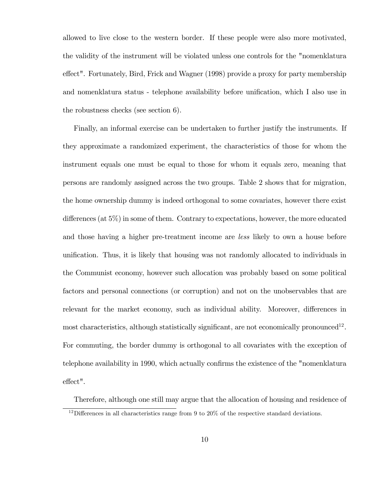allowed to live close to the western border. If these people were also more motivated, the validity of the instrument will be violated unless one controls for the "nomenklatura effect". Fortunately, Bird, Frick and Wagner (1998) provide a proxy for party membership and nomenklatura status - telephone availability before unification, which I also use in the robustness checks (see section 6).

Finally, an informal exercise can be undertaken to further justify the instruments. If they approximate a randomized experiment, the characteristics of those for whom the instrument equals one must be equal to those for whom it equals zero, meaning that persons are randomly assigned across the two groups. Table 2 shows that for migration, the home ownership dummy is indeed orthogonal to some covariates, however there exist differences (at  $5\%$ ) in some of them. Contrary to expectations, however, the more educated and those having a higher pre-treatment income are less likely to own a house before unification. Thus, it is likely that housing was not randomly allocated to individuals in the Communist economy, however such allocation was probably based on some political factors and personal connections (or corruption) and not on the unobservables that are relevant for the market economy, such as individual ability. Moreover, differences in most characteristics, although statistically significant, are not economically pronounced<sup>12</sup>. For commuting, the border dummy is orthogonal to all covariates with the exception of telephone availability in 1990, which actually confirms the existence of the "nomenklatura" effect".

Therefore, although one still may argue that the allocation of housing and residence of

 $12$ Differences in all characteristics range from 9 to 20% of the respective standard deviations.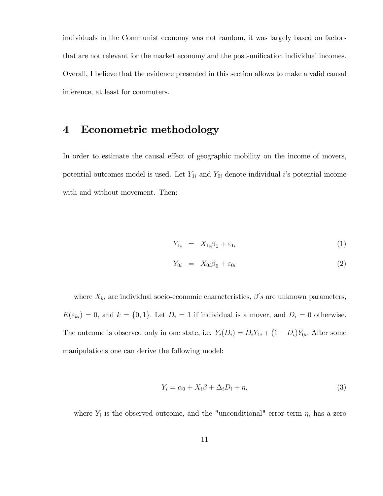individuals in the Communist economy was not random, it was largely based on factors that are not relevant for the market economy and the post-unification individual incomes. Overall, I believe that the evidence presented in this section allows to make a valid causal inference, at least for commuters.

## 4 Econometric methodology

In order to estimate the causal effect of geographic mobility on the income of movers, potential outcomes model is used. Let  $Y_{1i}$  and  $Y_{0i}$  denote individual *i*'s potential income with and without movement. Then:

$$
Y_{1i} = X_{1i}\beta_1 + \varepsilon_{1i} \tag{1}
$$

$$
Y_{0i} = X_{0i}\beta_0 + \varepsilon_{0i} \tag{2}
$$

where  $X_{ki}$  are individual socio-economic characteristics,  $\beta's$  are unknown parameters,  $E(\varepsilon_{ki}) = 0$ , and  $k = \{0, 1\}$ . Let  $D_i = 1$  if individual is a mover, and  $D_i = 0$  otherwise. The outcome is observed only in one state, i.e.  $Y_i(D_i) = D_i Y_{1i} + (1 - D_i) Y_{0i}$ . After some manipulations one can derive the following model:

$$
Y_i = \alpha_0 + X_i \beta + \Delta_i D_i + \eta_i \tag{3}
$$

where  $Y_i$  is the observed outcome, and the "unconditional" error term  $\eta_i$  has a zero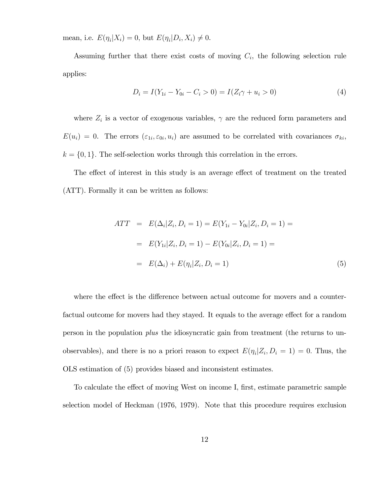mean, i.e.  $E(\eta_i|X_i) = 0$ , but  $E(\eta_i|D_i, X_i) \neq 0$ .

Assuming further that there exist costs of moving  $C_i$ , the following selection rule applies:

$$
D_i = I(Y_{1i} - Y_{0i} - C_i > 0) = I(Z_i \gamma + u_i > 0)
$$
\n<sup>(4)</sup>

where  $Z_i$  is a vector of exogenous variables,  $\gamma$  are the reduced form parameters and  $E(u_i) = 0$ . The errors  $(\varepsilon_{1i}, \varepsilon_{0i}, u_i)$  are assumed to be correlated with covariances  $\sigma_{ki}$ ,  $k = \{0, 1\}$ . The self-selection works through this correlation in the errors.

The effect of interest in this study is an average effect of treatment on the treated (ATT). Formally it can be written as follows:

$$
ATT = E(\Delta_i | Z_i, D_i = 1) = E(Y_{1i} - Y_{0i} | Z_i, D_i = 1) =
$$
  
=  $E(Y_{1i} | Z_i, D_i = 1) - E(Y_{0i} | Z_i, D_i = 1) =$   
=  $E(\Delta_i) + E(\eta_i | Z_i, D_i = 1)$  (5)

where the effect is the difference between actual outcome for movers and a counterfactual outcome for movers had they stayed. It equals to the average effect for a random person in the population plus the idiosyncratic gain from treatment (the returns to unobservables), and there is no a priori reason to expect  $E(\eta_i | Z_i, D_i = 1) = 0$ . Thus, the OLS estimation of (5) provides biased and inconsistent estimates.

To calculate the effect of moving West on income I, first, estimate parametric sample selection model of Heckman (1976, 1979). Note that this procedure requires exclusion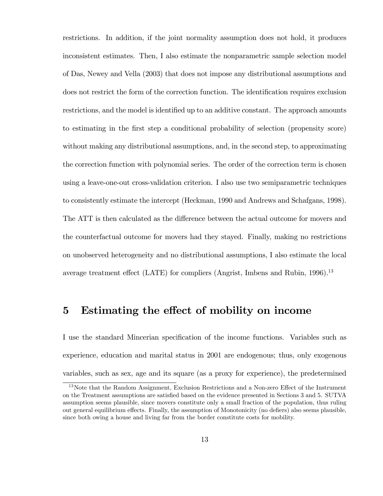restrictions. In addition, if the joint normality assumption does not hold, it produces inconsistent estimates. Then, I also estimate the nonparametric sample selection model of Das, Newey and Vella (2003) that does not impose any distributional assumptions and does not restrict the form of the correction function. The identification requires exclusion restrictions, and the model is identified up to an additive constant. The approach amounts to estimating in the first step a conditional probability of selection (propensity score) without making any distributional assumptions, and, in the second step, to approximating the correction function with polynomial series. The order of the correction term is chosen using a leave-one-out cross-validation criterion. I also use two semiparametric techniques to consistently estimate the intercept (Heckman, 1990 and Andrews and Schafgans, 1998). The ATT is then calculated as the difference between the actual outcome for movers and the counterfactual outcome for movers had they stayed. Finally, making no restrictions on unobserved heterogeneity and no distributional assumptions, I also estimate the local average treatment effect (LATE) for compliers (Angrist, Imbens and Rubin,  $1996$ ).<sup>13</sup>

## 5 Estimating the effect of mobility on income

I use the standard Mincerian specification of the income functions. Variables such as experience, education and marital status in 2001 are endogenous; thus, only exogenous variables, such as sex, age and its square (as a proxy for experience), the predetermined

 $13$ Note that the Random Assignment, Exclusion Restrictions and a Non-zero Effect of the Instrument on the Treatment assumptions are satisfied based on the evidence presented in Sections 3 and 5. SUTVA assumption seems plausible, since movers constitute only a small fraction of the population, thus ruling out general equilibrium effects. Finally, the assumption of Monotonicity (no defiers) also seems plausible, since both owing a house and living far from the border constitute costs for mobility.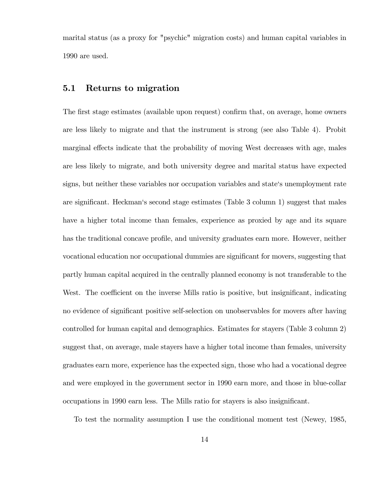marital status (as a proxy for "psychic" migration costs) and human capital variables in 1990 are used.

#### 5.1 Returns to migration

The first stage estimates (available upon request) confirm that, on average, home owners are less likely to migrate and that the instrument is strong (see also Table 4). Probit marginal effects indicate that the probability of moving West decreases with age, males are less likely to migrate, and both university degree and marital status have expected signs, but neither these variables nor occupation variables and stateës unemployment rate are significant. Heckman's second stage estimates (Table 3 column 1) suggest that males have a higher total income than females, experience as proxied by age and its square has the traditional concave profile, and university graduates earn more. However, neither vocational education nor occupational dummies are significant for movers, suggesting that partly human capital acquired in the centrally planned economy is not transferable to the West. The coefficient on the inverse Mills ratio is positive, but insignificant, indicating no evidence of significant positive self-selection on unobservables for movers after having controlled for human capital and demographics. Estimates for stayers (Table 3 column 2) suggest that, on average, male stayers have a higher total income than females, university graduates earn more, experience has the expected sign, those who had a vocational degree and were employed in the government sector in 1990 earn more, and those in blue-collar occupations in 1990 earn less. The Mills ratio for stayers is also insignificant.

To test the normality assumption I use the conditional moment test (Newey, 1985,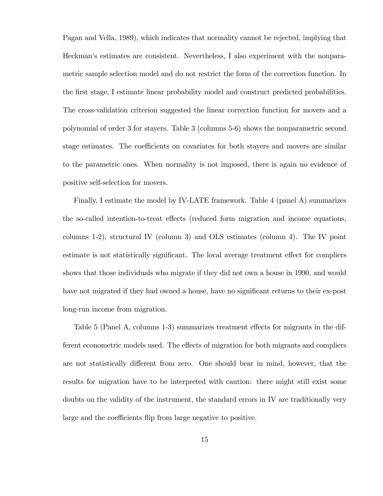Pagan and Vella, 1989), which indicates that normality cannot be rejected, implying that Heckmanës estimates are consistent. Nevertheless, I also experiment with the nonparametric sample selection model and do not restrict the form of the correction function. In the Örst stage, I estimate linear probability model and construct predicted probabilities. The cross-validation criterion suggested the linear correction function for movers and a polynomial of order 3 for stayers. Table 3 (columns 5-6) shows the nonparametric second stage estimates. The coefficients on covariates for both stayers and movers are similar to the parametric ones. When normality is not imposed, there is again no evidence of positive self-selection for movers.

Finally, I estimate the model by IV-LATE framework. Table 4 (panel A) summarizes the so-called intention-to-treat effects (reduced form migration and income equations, columns 1-2), structural IV (column 3) and OLS estimates (column 4). The IV point estimate is not statistically significant. The local average treatment effect for compliers shows that those individuals who migrate if they did not own a house in 1990, and would have not migrated if they had owned a house, have no significant returns to their ex-post long-run income from migration.

Table 5 (Panel A, columns 1-3) summarizes treatment effects for migrants in the different econometric models used. The effects of migration for both migrants and compliers are not statistically different from zero. One should bear in mind, however, that the results for migration have to be interpreted with caution: there might still exist some doubts on the validity of the instrument, the standard errors in IV are traditionally very large and the coefficients flip from large negative to positive.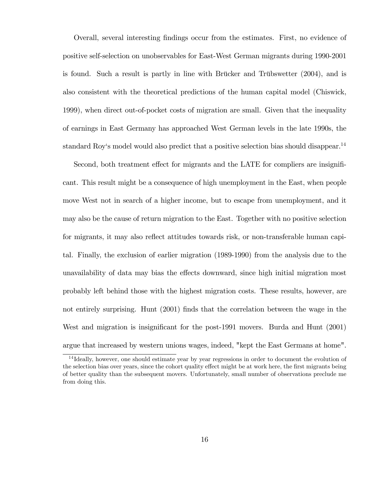Overall, several interesting Öndings occur from the estimates. First, no evidence of positive self-selection on unobservables for East-West German migrants during 1990-2001 is found. Such a result is partly in line with Brücker and Trübswetter  $(2004)$ , and is also consistent with the theoretical predictions of the human capital model (Chiswick, 1999), when direct out-of-pocket costs of migration are small. Given that the inequality of earnings in East Germany has approached West German levels in the late 1990s, the standard Roy's model would also predict that a positive selection bias should disappear.<sup>14</sup>

Second, both treatment effect for migrants and the LATE for compliers are insignificant. This result might be a consequence of high unemployment in the East, when people move West not in search of a higher income, but to escape from unemployment, and it may also be the cause of return migration to the East. Together with no positive selection for migrants, it may also reflect attitudes towards risk, or non-transferable human capital. Finally, the exclusion of earlier migration (1989-1990) from the analysis due to the unavailability of data may bias the effects downward, since high initial migration most probably left behind those with the highest migration costs. These results, however, are not entirely surprising. Hunt (2001) finds that the correlation between the wage in the West and migration is insignificant for the post-1991 movers. Burda and Hunt (2001) argue that increased by western unions wages, indeed, "kept the East Germans at home".

<sup>&</sup>lt;sup>14</sup> Ideally, however, one should estimate year by year regressions in order to document the evolution of the selection bias over years, since the cohort quality effect might be at work here, the first migrants being of better quality than the subsequent movers. Unfortunately, small number of observations preclude me from doing this.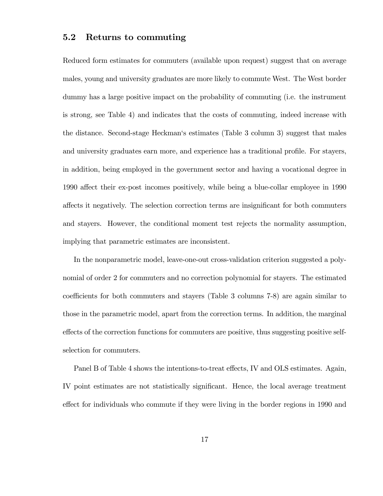#### 5.2 Returns to commuting

Reduced form estimates for commuters (available upon request) suggest that on average males, young and university graduates are more likely to commute West. The West border dummy has a large positive impact on the probability of commuting (i.e. the instrument is strong, see Table 4) and indicates that the costs of commuting, indeed increase with the distance. Second-stage Heckmanës estimates (Table 3 column 3) suggest that males and university graduates earn more, and experience has a traditional profile. For stayers, in addition, being employed in the government sector and having a vocational degree in 1990 affect their ex-post incomes positively, while being a blue-collar employee in 1990 affects it negatively. The selection correction terms are insignificant for both commuters and stayers. However, the conditional moment test rejects the normality assumption, implying that parametric estimates are inconsistent.

In the nonparametric model, leave-one-out cross-validation criterion suggested a polynomial of order 2 for commuters and no correction polynomial for stayers. The estimated coefficients for both commuters and stayers (Table 3 columns 7-8) are again similar to those in the parametric model, apart from the correction terms. In addition, the marginal effects of the correction functions for commuters are positive, thus suggesting positive selfselection for commuters.

Panel B of Table 4 shows the intentions-to-treat effects, IV and OLS estimates. Again, IV point estimates are not statistically significant. Hence, the local average treatment effect for individuals who commute if they were living in the border regions in 1990 and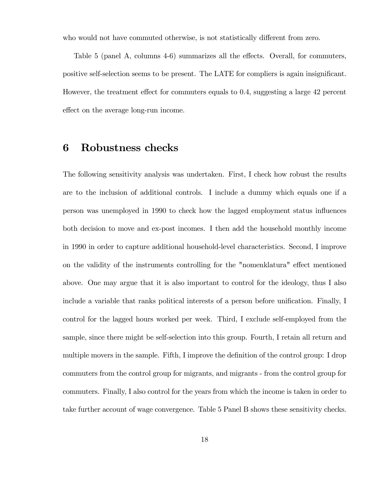who would not have commuted otherwise, is not statistically different from zero.

Table 5 (panel A, columns  $4-6$ ) summarizes all the effects. Overall, for commuters, positive self-selection seems to be present. The LATE for compliers is again insignificant. However, the treatment effect for commuters equals to  $0.4$ , suggesting a large  $42$  percent effect on the average long-run income.

#### 6 Robustness checks

The following sensitivity analysis was undertaken. First, I check how robust the results are to the inclusion of additional controls. I include a dummy which equals one if a person was unemployed in 1990 to check how the lagged employment status ináuences both decision to move and ex-post incomes. I then add the household monthly income in 1990 in order to capture additional household-level characteristics. Second, I improve on the validity of the instruments controlling for the "nomenklatura" effect mentioned above. One may argue that it is also important to control for the ideology, thus I also include a variable that ranks political interests of a person before unification. Finally, I control for the lagged hours worked per week. Third, I exclude self-employed from the sample, since there might be self-selection into this group. Fourth, I retain all return and multiple movers in the sample. Fifth, I improve the definition of the control group: I drop commuters from the control group for migrants, and migrants - from the control group for commuters. Finally, I also control for the years from which the income is taken in order to take further account of wage convergence. Table 5 Panel B shows these sensitivity checks.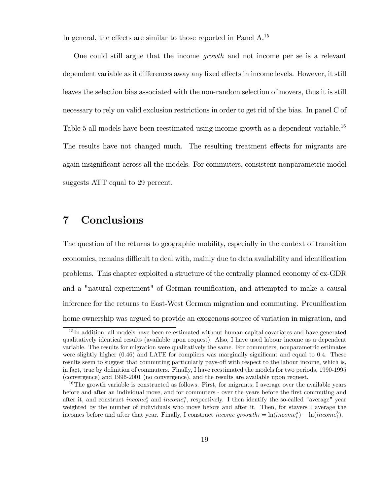In general, the effects are similar to those reported in Panel  $A<sup>15</sup>$ 

One could still argue that the income growth and not income per se is a relevant dependent variable as it differences away any fixed effects in income levels. However, it still leaves the selection bias associated with the non-random selection of movers, thus it is still necessary to rely on valid exclusion restrictions in order to get rid of the bias. In panel C of Table 5 all models have been reestimated using income growth as a dependent variable.<sup>16</sup> The results have not changed much. The resulting treatment effects for migrants are again insignificant across all the models. For commuters, consistent nonparametric model suggests ATT equal to 29 percent.

## 7 Conclusions

The question of the returns to geographic mobility, especially in the context of transition economies, remains difficult to deal with, mainly due to data availability and identification problems. This chapter exploited a structure of the centrally planned economy of ex-GDR and a "natural experiment" of German reunification, and attempted to make a causal inference for the returns to East-West German migration and commuting. Preunification home ownership was argued to provide an exogenous source of variation in migration, and

<sup>&</sup>lt;sup>15</sup>In addition, all models have been re-estimated without human capital covariates and have generated qualitatively identical results (available upon request). Also, I have used labour income as a dependent variable. The results for migration were qualitatively the same. For commuters, nonparametric estimates were slightly higher  $(0.46)$  and LATE for compliers was marginally significant and equal to 0.4. These results seem to suggest that commuting particularly pays-off with respect to the labour income, which is, in fact, true by definition of commuters. Finally, I have reestimated the models for two periods, 1990-1995 (convergence) and 1996-2001 (no convergence), and the results are available upon request.

<sup>&</sup>lt;sup>16</sup>The growth variable is constructed as follows. First, for migrants, I average over the available years before and after an individual move, and for commuters - over the years before the first commuting and after it, and construct  $income_i^b$  and  $income_i^a$ , respectively. I then identify the so-called "average" year weighted by the number of individuals who move before and after it. Then, for stayers I average the incomes before and after that year. Finally, I construct *income groowth*<sub>i</sub> =  $\ln(income_i^a) - \ln(income_i^b)$ .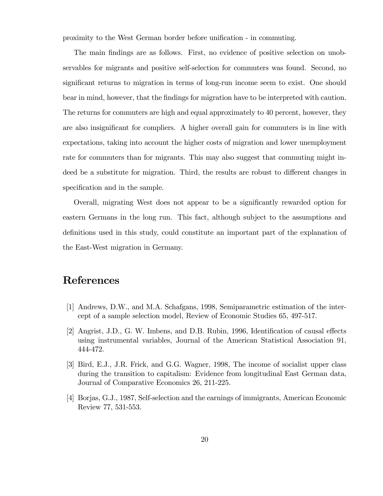proximity to the West German border before unification - in commuting.

The main findings are as follows. First, no evidence of positive selection on unobservables for migrants and positive self-selection for commuters was found. Second, no significant returns to migration in terms of long-run income seem to exist. One should bear in mind, however, that the Öndings for migration have to be interpreted with caution. The returns for commuters are high and equal approximately to 40 percent, however, they are also insignificant for compliers. A higher overall gain for commuters is in line with expectations, taking into account the higher costs of migration and lower unemployment rate for commuters than for migrants. This may also suggest that commuting might indeed be a substitute for migration. Third, the results are robust to different changes in specification and in the sample.

Overall, migrating West does not appear to be a significantly rewarded option for eastern Germans in the long run. This fact, although subject to the assumptions and definitions used in this study, could constitute an important part of the explanation of the East-West migration in Germany.

## References

- [1] Andrews, D.W., and M.A. Schafgans, 1998, Semiparametric estimation of the intercept of a sample selection model, Review of Economic Studies 65, 497-517.
- [2] Angrist, J.D., G. W. Imbens, and D.B. Rubin, 1996, Identification of causal effects using instrumental variables, Journal of the American Statistical Association 91, 444-472.
- [3] Bird, E.J., J.R. Frick, and G.G. Wagner, 1998, The income of socialist upper class during the transition to capitalism: Evidence from longitudinal East German data, Journal of Comparative Economics 26, 211-225.
- [4] Borjas, G.J., 1987, Self-selection and the earnings of immigrants, American Economic Review 77, 531-553.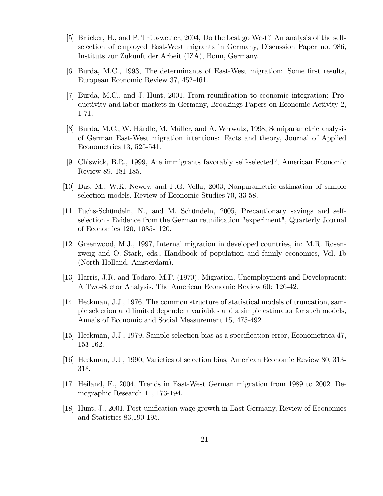- [5] Brücker, H., and P. Trübswetter, 2004, Do the best go West? An analysis of the selfselection of employed East-West migrants in Germany, Discussion Paper no. 986, Instituts zur Zukunft der Arbeit (IZA), Bonn, Germany.
- [6] Burda, M.C., 1993, The determinants of East-West migration: Some first results, European Economic Review 37, 452-461.
- [7] Burda, M.C., and J. Hunt, 2001, From reunification to economic integration: Productivity and labor markets in Germany, Brookings Papers on Economic Activity 2, 1-71.
- [8] Burda, M.C., W. Härdle, M. Müller, and A. Werwatz, 1998, Semiparametric analysis of German East-West migration intentions: Facts and theory, Journal of Applied Econometrics 13, 525-541.
- [9] Chiswick, B.R., 1999, Are immigrants favorably self-selected?, American Economic Review 89, 181-185.
- [10] Das, M., W.K. Newey, and F.G. Vella, 2003, Nonparametric estimation of sample selection models, Review of Economic Studies 70, 33-58.
- [11] Fuchs-Schündeln, N., and M. Schündeln, 2005, Precautionary savings and selfselection - Evidence from the German reunification "experiment", Quarterly Journal of Economics 120, 1085-1120.
- [12] Greenwood, M.J., 1997, Internal migration in developed countries, in: M.R. Rosenzweig and O. Stark, eds., Handbook of population and family economics, Vol. 1b (North-Holland, Amsterdam).
- [13] Harris, J.R. and Todaro, M.P. (1970). Migration, Unemployment and Development: A Two-Sector Analysis. The American Economic Review 60: 126-42.
- [14] Heckman, J.J., 1976, The common structure of statistical models of truncation, sample selection and limited dependent variables and a simple estimator for such models, Annals of Economic and Social Measurement 15, 475-492.
- [15] Heckman, J.J., 1979, Sample selection bias as a specification error, Econometrica 47, 153-162.
- [16] Heckman, J.J., 1990, Varieties of selection bias, American Economic Review 80, 313- 318.
- [17] Heiland, F., 2004, Trends in East-West German migration from 1989 to 2002, Demographic Research 11, 173-194.
- [18] Hunt, J., 2001, Post-unification wage growth in East Germany, Review of Economics and Statistics 83,190-195.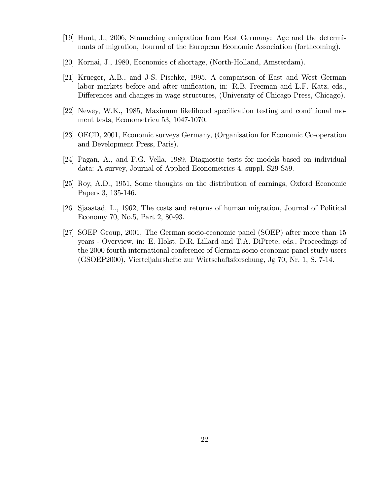- [19] Hunt, J., 2006, Staunching emigration from East Germany: Age and the determinants of migration, Journal of the European Economic Association (forthcoming).
- [20] Kornai, J., 1980, Economics of shortage, (North-Holland, Amsterdam).
- [21] Krueger, A.B., and J-S. Pischke, 1995, A comparison of East and West German labor markets before and after unification, in: R.B. Freeman and L.F. Katz, eds., Differences and changes in wage structures, (University of Chicago Press, Chicago).
- [22] Newey, W.K., 1985, Maximum likelihood specification testing and conditional moment tests, Econometrica 53, 1047-1070.
- [23] OECD, 2001, Economic surveys Germany, (Organisation for Economic Co-operation and Development Press, Paris).
- [24] Pagan, A., and F.G. Vella, 1989, Diagnostic tests for models based on individual data: A survey, Journal of Applied Econometrics 4, suppl. S29-S59.
- [25] Roy, A.D., 1951, Some thoughts on the distribution of earnings, Oxford Economic Papers 3, 135-146.
- [26] Sjaastad, L., 1962, The costs and returns of human migration, Journal of Political Economy 70, No.5, Part 2, 80-93.
- [27] SOEP Group, 2001, The German socio-economic panel (SOEP) after more than 15 years - Overview, in: E. Holst, D.R. Lillard and T.A. DiPrete, eds., Proceedings of the 2000 fourth international conference of German socio-economic panel study users (GSOEP2000), Vierteljahrshefte zur Wirtschaftsforschung, Jg 70, Nr. 1, S. 7-14.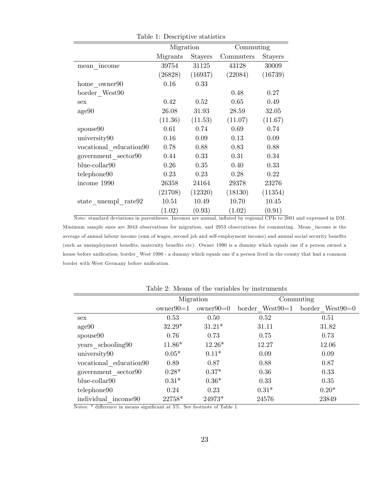|                        | Migration |                | Commuting |                |  |  |  |
|------------------------|-----------|----------------|-----------|----------------|--|--|--|
|                        | Migrants  | <b>Stayers</b> | Commuters | <b>Stayers</b> |  |  |  |
| mean income            | 39754     | 31125          | 43128     | 30009          |  |  |  |
|                        | (26828)   | (16937)        | (22084)   | (16739)        |  |  |  |
| $home\_owner90$        | 0.16      | 0.33           |           |                |  |  |  |
| border West90          |           |                | 0.48      | 0.27           |  |  |  |
| sex                    | 0.42      | 0.52           | 0.65      | 0.49           |  |  |  |
| age90                  | 26.08     | 31.93          | 28.59     | 32.05          |  |  |  |
|                        | (11.36)   | (11.53)        | (11.07)   | (11.67)        |  |  |  |
| spouse90               | 0.61      | 0.74           | 0.69      | 0.74           |  |  |  |
| university90           | 0.16      | 0.09           | 0.13      | 0.09           |  |  |  |
| vocational education90 | 0.78      | 0.88           | 0.83      | 0.88           |  |  |  |
| government sector90    | 0.44      | 0.33           | 0.31      | 0.34           |  |  |  |
| blue-collar90          | 0.26      | 0.35           | 0.40      | 0.33           |  |  |  |
| telephone90            | 0.23      | 0.23           | 0.28      | 0.22           |  |  |  |
| income 1990            | 26358     | 24164          | 29378     | 23276          |  |  |  |
|                        | (21708)   | (12320)        | (18130)   | (11354)        |  |  |  |
| state unempl rate92    | 10.51     | 10.49          | 10.70     | 10.45          |  |  |  |
|                        | (1.02)    | (0.93)         | (1.02)    | (0.91)         |  |  |  |

Table 1: Descriptive statistics

Note: standard deviations in parentheses. Incomes are annual, ináated by regional CPIs to 2001 and expressed in DM. Minimum sample sizes are 3043 observations for migration, and 2953 observations for commuting. Mean\_income is the average of annual labour income (sum of wages, second job and self-employment income) and annual social security benefits (such as unemployment benefits, maternity benefits etc). Owner 1990 is a dummy which equals one if a person owned a house before unification; border\_West 1990 - a dummy which equals one if a person lived in the county that had a common border with West Germany before unification.

|                        |             |             | $\cdot$           |                   |  |
|------------------------|-------------|-------------|-------------------|-------------------|--|
|                        |             | Migration   | Commuting         |                   |  |
|                        | $owner90=1$ | $owner90=0$ | border $West90=1$ | border $West90=0$ |  |
| sex                    | 0.53        | 0.50        | 0.52              | 0.51              |  |
| age90                  | $32.29*$    | $31.21*$    | 31.11             | 31.82             |  |
| spouse90               | 0.76        | 0.73        | 0.75              | 0.73              |  |
| years schooling90      | $11.86*$    | $12.26*$    | 12.27             | 12.06             |  |
| university90           | $0.05*$     | $0.11*$     | 0.09              | 0.09              |  |
| vocational education90 | 0.89        | 0.87        | 0.88              | 0.87              |  |
| government sector90    | $0.28*$     | $0.37*$     | 0.36              | 0.33              |  |
| blue-collar90          | $0.31*$     | $0.36*$     | 0.33              | 0.35              |  |
| telephone 90           | 0.24        | 0.23        | $0.31*$           | $0.20*$           |  |
| individual income90    | 22758*      | 24973*      | 24576             | 23849             |  |

Table 2: Means of the variables by instruments

Notes:  $*$  difference in means significant at 5%. See footnote of Table 1.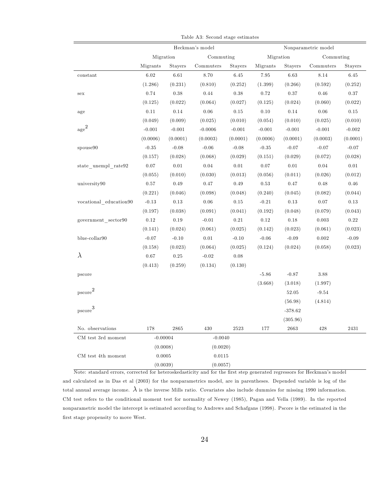|                         | Heckman's model |                        |                | Nonparametric model |          |                |             |                |
|-------------------------|-----------------|------------------------|----------------|---------------------|----------|----------------|-------------|----------------|
|                         |                 | Migration<br>Commuting |                | Migration           |          | Commuting      |             |                |
|                         | Migrants        | <b>Stayers</b>         | Commuters      | Stayers             | Migrants | <b>Stayers</b> | Commuters   | <b>Stayers</b> |
| constant                | 6.02            | $6.61\,$               | 8.70           | 6.45                | 7.95     | 6.63           | 8.14        | $6.45\,$       |
|                         | (1.286)         | (0.231)                | (0.810)        | (0.252)             | (1.399)  | (0.266)        | (0.592)     | (0.252)        |
| sex                     | 0.74            | $0.38\,$               | 0.44           | 0.38                | 0.72     | $0.37\,$       | 0.46        | 0.37           |
|                         | (0.125)         | (0.022)                | (0.064)        | (0.027)             | (0.125)  | (0.024)        | (0.060)     | (0.022)        |
| age                     | $0.11\,$        | 0.14                   | 0.06           | 0.15                | 0.10     | 0.14           | $0.06\,$    | $0.15\,$       |
|                         | (0.049)         | (0.009)                | (0.025)        | (0.010)             | (0.054)  | (0.010)        | (0.025)     | (0.010)        |
| $_{\rm age}^2$          | $-0.001$        | $-0.001$               | $-0.0006$      | $-0.001$            | $-0.001$ | $-0.001$       | $-0.001$    | $-0.002$       |
|                         | (0.0006)        | (0.0001)               | (0.0003)       | (0.0001)            | (0.0006) | (0.0001)       | (0.0003)    | (0.0001)       |
| spouse90                | $-0.35$         | $-0.08$                | $-0.06$        | $-0.08$             | $-0.35$  | $-0.07$        | $-0.07$     | $-0.07$        |
|                         | (0.157)         | (0.028)                | (0.068)        | (0.029)             | (0.151)  | (0.029)        | (0.072)     | (0.028)        |
| state unempl rate92     | $0.07\,$        | $0.01\,$               | $0.04\,$       | 0.01                | 0.07     | $0.01\,$       | $0.04\,$    | $0.01\,$       |
|                         | (0.055)         | (0.010)                | (0.030)        | (0.013)             | (0.056)  | (0.011)        | (0.026)     | (0.012)        |
| university90            | 0.57            | $0.49\,$               | $0.47\,$       | $0.49\,$            | $0.53\,$ | $0.47\,$       | $0.48\,$    | $0.46\,$       |
|                         | (0.221)         | (0.046)                | (0.098)        | (0.048)             | (0.240)  | (0.045)        | (0.082)     | (0.044)        |
| vocational education90  | $-0.13$         | 0.13                   | $0.06\,$       | 0.15                | $-0.21$  | $0.13\,$       | $0.07\,$    | $0.13\,$       |
|                         | (0.197)         | (0.038)                | (0.091)        | (0.041)             | (0.192)  | (0.048)        | (0.079)     | (0.043)        |
| government sector90     | $0.12\,$        | $0.19\,$               | $\text{-}0.01$ | $0.21\,$            | $0.12\,$ | 0.18           | $\,0.003\,$ | 0.22           |
|                         | (0.141)         | (0.024)                | (0.061)        | (0.025)             | (0.142)  | (0.023)        | (0.061)     | (0.023)        |
| $blue$ -collar $90$     | $-0.07$         | $-0.10$                | 0.01           | $-0.10$             | $-0.06$  | $-0.09$        | 0.002       | $-0.09$        |
|                         | (0.158)         | (0.023)                | (0.064)        | (0.025)             | (0.124)  | (0.024)        | (0.058)     | (0.023)        |
| $\lambda$               | $0.67\,$        | $0.25\,$               | $-0.02$        | 0.08                |          |                |             |                |
|                         | (0.413)         | (0.259)                | (0.134)        | (0.130)             |          |                |             |                |
| pscore                  |                 |                        |                |                     | $-5.86$  | $-0.87$        | $3.88\,$    |                |
|                         |                 |                        |                |                     | (3.668)  | (3.018)        | (1.997)     |                |
| $_{\rm pscore}^{\rm 2}$ |                 |                        |                |                     |          | 52.05          | $-9.54$     |                |
|                         |                 |                        |                |                     |          | (56.98)        | (4.814)     |                |
| $_{\rm pscore}{}^3$     |                 |                        |                |                     |          | $-378.62$      |             |                |
|                         |                 |                        |                |                     |          | (305.96)       |             |                |
| No. observations        | 178             | 2865                   | 430            | 2523                | 177      | 2663           | 428         | 2431           |
| CM test 3rd moment      | $-0.00004$      |                        | $-0.0040$      |                     |          |                |             |                |
|                         | (0.0008)        |                        | (0.0020)       |                     |          |                |             |                |
| CM test 4th moment      | 0.0005          |                        | 0.0115         |                     |          |                |             |                |
|                         | (0.0039)        |                        | (0.0057)       |                     |          |                |             |                |

Table A3: Second stage estimates

Note: standard errors, corrected for heteroskedasticity and for the first step generated regressors for Heckman's model and calculated as in Das et al (2003) for the nonparametrics model, are in parentheses. Depended variable is log of the total annual average income.  $\lambda$  is the inverse Mills ratio. Covariates also include dummies for missing 1990 information. CM test refers to the conditional moment test for normality of Newey (1985), Pagan and Vella (1989). In the reported nonparametric model the intercept is estimated according to Andrews and Schafgans (1998). Pscore is the estimated in the first stage propensity to move West.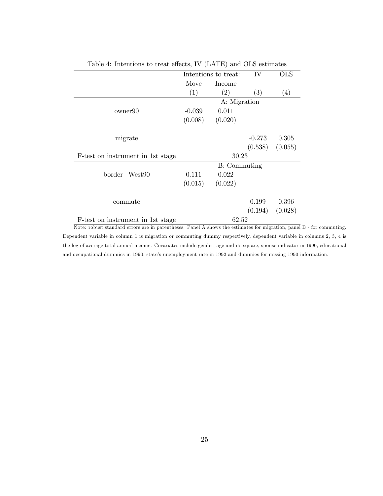|                                   | Intentions to treat: |                      | IV       | <b>OLS</b>        |  |  |
|-----------------------------------|----------------------|----------------------|----------|-------------------|--|--|
|                                   | Move                 | Income               |          |                   |  |  |
|                                   | (1)                  | (2)                  | (3)      | $\left( 4\right)$ |  |  |
|                                   | A: Migration         |                      |          |                   |  |  |
| owner90                           | $-0.039$             | 0.011                |          |                   |  |  |
|                                   | (0.008)              | (0.020)              |          |                   |  |  |
|                                   |                      |                      |          |                   |  |  |
| migrate                           |                      |                      | $-0.273$ | 0.305             |  |  |
|                                   |                      |                      | (0.538)  | (0.055)           |  |  |
| F-test on instrument in 1st stage | 30.23                |                      |          |                   |  |  |
|                                   |                      | <b>B</b> : Commuting |          |                   |  |  |
| border West90                     | 0.111                | 0.022                |          |                   |  |  |
|                                   | (0.015)              | (0.022)              |          |                   |  |  |
|                                   |                      |                      |          |                   |  |  |
| commute                           |                      |                      | 0.199    | 0.396             |  |  |
|                                   |                      |                      | (0.194)  | (0.028)           |  |  |
| F-test on instrument in 1st stage |                      | 62.52                |          |                   |  |  |

Table 4: Intentions to treat effects, IV (LATE) and OLS estimates

Note: robust standard errors are in parentheses. Panel A shows the estimates for migration, panel B - for commuting. Dependent variable in column 1 is migration or commuting dummy respectively, dependent variable in columns 2, 3, 4 is the log of average total annual income. Covariates include gender, age and its square, spouse indicator in 1990, educational and occupational dummies in 1990, state's unemployment rate in 1992 and dummies for missing 1990 information.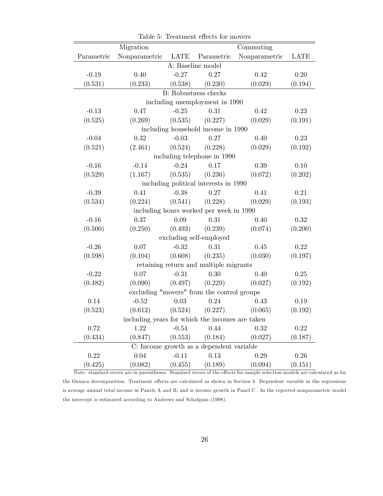|                                                 | Migration                   | Commuting   |                                        |               |             |  |  |
|-------------------------------------------------|-----------------------------|-------------|----------------------------------------|---------------|-------------|--|--|
| Parametric                                      | Nonparametric               | <b>LATE</b> | Parametric                             | Nonparametric | <b>LATE</b> |  |  |
|                                                 | A: Baseline model           |             |                                        |               |             |  |  |
| $-0.19$                                         | 0.40                        | $-0.27$     | 0.27                                   | 0.42          | 0.20        |  |  |
| (0.531)                                         | (0.233)                     | (0.538)     | (0.230)                                | (0.029)       | (0.194)     |  |  |
|                                                 | <b>B:</b> Robustness checks |             |                                        |               |             |  |  |
|                                                 |                             |             | including unemployment in 1990         |               |             |  |  |
| $-0.13$                                         | 0.47                        | $-0.25$     | 0.31                                   | 0.42          | 0.23        |  |  |
| (0.525)                                         | (0.269)                     | (0.535)     | (0.227)                                | (0.029)       | (0.191)     |  |  |
|                                                 |                             |             | including household income in 1990     |               |             |  |  |
| $-0.04$                                         | 0.32                        | $-0.03$     | 0.27                                   | 0.40          | 0.23        |  |  |
| (0.521)                                         | (2.461)                     | (0.524)     | (0.228)                                | (0.029)       | (0.192)     |  |  |
|                                                 |                             |             | including telephone in 1990            |               |             |  |  |
| $-0.16$                                         | $-0.14$                     | $-0.24$     | 0.17                                   | 0.39          | 0.10        |  |  |
| (0.529)                                         | (1.167)                     | (0.535)     | (0.236)                                | (0.072)       | (0.202)     |  |  |
|                                                 |                             |             | including political interests in 1990  |               |             |  |  |
| $-0.39$                                         | 0.41                        | $-0.38$     | 0.27                                   | 0.41          | 0.21        |  |  |
| (0.534)                                         | (0.224)                     | (0.541)     | (0.228)                                | (0.029)       | (0.193)     |  |  |
| including hours worked per week in 1990         |                             |             |                                        |               |             |  |  |
| $-0.16$                                         | $0.37\,$                    | 0.09        | $0.31\,$                               | 0.40          | $0.32\,$    |  |  |
| (0.500)                                         | (0.250)                     | (0.493)     | (0.239)                                | (0.074)       | (0.200)     |  |  |
| excluding self-employed                         |                             |             |                                        |               |             |  |  |
| $-0.26$                                         | 0.07                        | $-0.32$     | 0.31                                   | 0.45          | 0.22        |  |  |
| (0.598)                                         | (0.104)                     | (0.608)     | (0.235)                                | (0.030)       | (0.197)     |  |  |
|                                                 |                             |             | retaining return and multiple migrants |               |             |  |  |
| $-0.22$                                         | 0.07                        | $-0.31$     | 0.30                                   | 0.40          | $0.25\,$    |  |  |
| (0.482)                                         | (0.090)                     | (0.497)     | (0.229)                                | (0.027)       | (0.192)     |  |  |
| excluding "movers" from the control groups      |                             |             |                                        |               |             |  |  |
| 0.14                                            | $-0.52$                     | 0.03        | 0.24                                   | 0.43          | 0.19        |  |  |
| (0.523)                                         | (0.612)                     | (0.524)     | (0.227)                                | (0.065)       | (0.192)     |  |  |
| including years for which the incomes are taken |                             |             |                                        |               |             |  |  |
| 0.72                                            | 1.22                        | $-0.54$     | 0.44                                   | 0.32          | 0.22        |  |  |
| (0.434)                                         | (0.847)                     | (0.553)     | (0.184)                                | (0.027)       | (0.187)     |  |  |
| C: Income growth as a dependent variable        |                             |             |                                        |               |             |  |  |
| 0.22                                            | 0.04                        | $-0.11$     | 0.13                                   | 0.29          | 0.26        |  |  |
| (0.425)                                         | (0.082)                     | (0.455)     | (0.189)                                | (0.094)       | (0.151)     |  |  |

Table 5: Treatment effects for movers

Note: standard errors are in parentheses. Standard errors of the effects for sample selection models are calculated as for the Oaxaca decomposition. Treatment effects are calculated as shown in Section 4. Dependent variable in the regressions is average annual total income in Panels A and B, and is income growth in Panel C . In the reported nonparametric model the intercept is estimated according to Andrews and Schafgans (1998).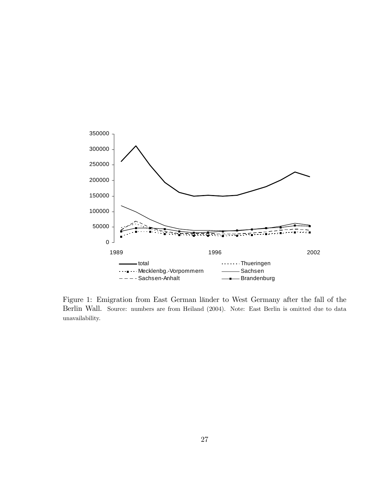

Figure 1: Emigration from East German länder to West Germany after the fall of the Berlin Wall. Source: numbers are from Heiland (2004). Note: East Berlin is omitted due to data unavailability.